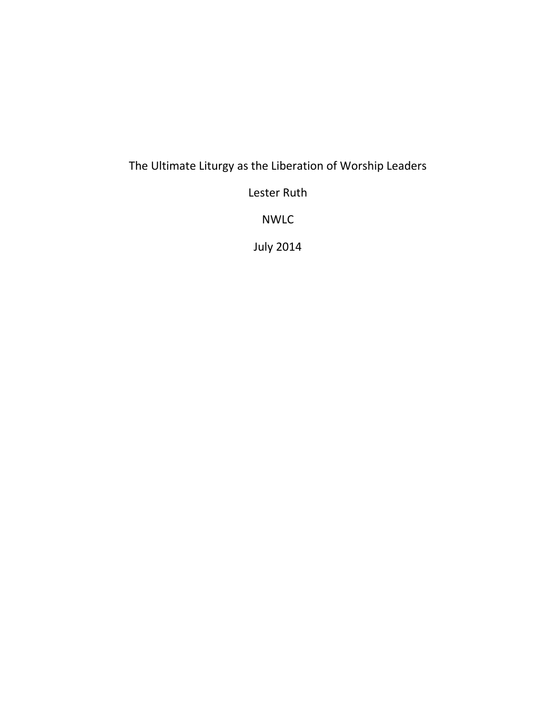## The Ultimate Liturgy as the Liberation of Worship Leaders

Lester Ruth

NWLC

July 2014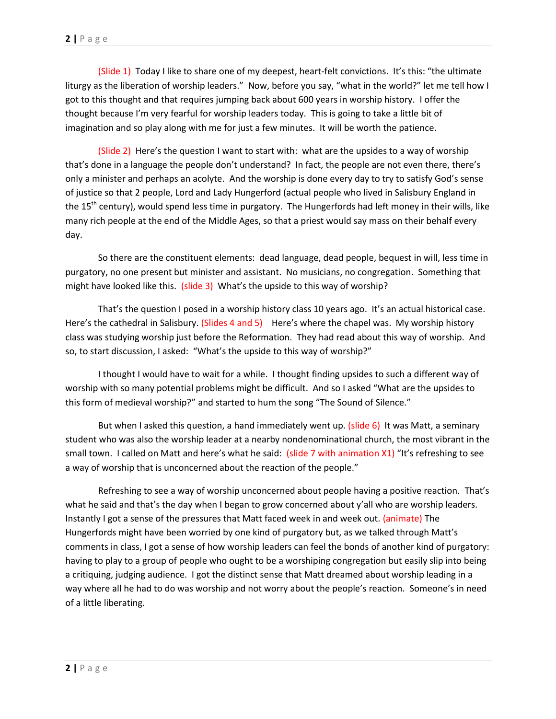(Slide 1) Today I like to share one of my deepest, heart-felt convictions. It's this: "the ultimate liturgy as the liberation of worship leaders." Now, before you say, "what in the world?" let me tell how I got to this thought and that requires jumping back about 600 years in worship history. I offer the thought because I'm very fearful for worship leaders today. This is going to take a little bit of imagination and so play along with me for just a few minutes. It will be worth the patience.

(Slide 2) Here's the question I want to start with: what are the upsides to a way of worship that's done in a language the people don't understand? In fact, the people are not even there, there's only a minister and perhaps an acolyte. And the worship is done every day to try to satisfy God's sense of justice so that 2 people, Lord and Lady Hungerford (actual people who lived in Salisbury England in the  $15<sup>th</sup>$  century), would spend less time in purgatory. The Hungerfords had left money in their wills, like many rich people at the end of the Middle Ages, so that a priest would say mass on their behalf every day.

So there are the constituent elements: dead language, dead people, bequest in will, less time in purgatory, no one present but minister and assistant. No musicians, no congregation. Something that might have looked like this. (slide 3) What's the upside to this way of worship?

That's the question I posed in a worship history class 10 years ago. It's an actual historical case. Here's the cathedral in Salisbury. (Slides 4 and 5) Here's where the chapel was. My worship history class was studying worship just before the Reformation. They had read about this way of worship. And so, to start discussion, I asked: "What's the upside to this way of worship?"

I thought I would have to wait for a while. I thought finding upsides to such a different way of worship with so many potential problems might be difficult. And so I asked "What are the upsides to this form of medieval worship?" and started to hum the song "The Sound of Silence."

But when I asked this question, a hand immediately went up. (slide 6) It was Matt, a seminary student who was also the worship leader at a nearby nondenominational church, the most vibrant in the small town. I called on Matt and here's what he said: (slide 7 with animation X1) "It's refreshing to see a way of worship that is unconcerned about the reaction of the people."

Refreshing to see a way of worship unconcerned about people having a positive reaction. That's what he said and that's the day when I began to grow concerned about y'all who are worship leaders. Instantly I got a sense of the pressures that Matt faced week in and week out. (animate) The Hungerfords might have been worried by one kind of purgatory but, as we talked through Matt's comments in class, I got a sense of how worship leaders can feel the bonds of another kind of purgatory: having to play to a group of people who ought to be a worshiping congregation but easily slip into being a critiquing, judging audience. I got the distinct sense that Matt dreamed about worship leading in a way where all he had to do was worship and not worry about the people's reaction. Someone's in need of a little liberating.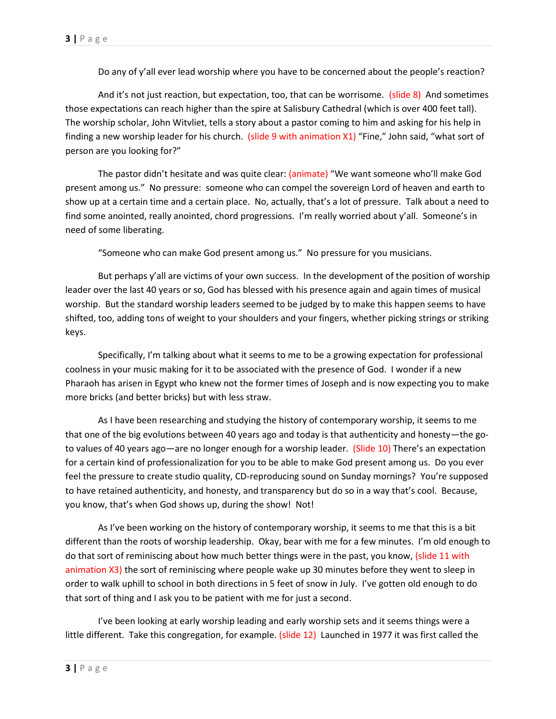Do any of y'all ever lead worship where you have to be concerned about the people's reaction?

And it's not just reaction, but expectation, too, that can be worrisome. (slide 8) And sometimes those expectations can reach higher than the spire at Salisbury Cathedral (which is over 400 feet tall). The worship scholar, John Witvliet, tells a story about a pastor coming to him and asking for his help in finding a new worship leader for his church. (slide 9 with animation X1) "Fine," John said, "what sort of person are you looking for?"

The pastor didn't hesitate and was quite clear: (animate) "We want someone who'll make God present among us." No pressure: someone who can compel the sovereign Lord of heaven and earth to show up at a certain time and a certain place. No, actually, that's a lot of pressure. Talk about a need to find some anointed, really anointed, chord progressions. I'm really worried about y'all. Someone's in need of some liberating.

"Someone who can make God present among us." No pressure for you musicians.

But perhaps y'all are victims of your own success. In the development of the position of worship leader over the last 40 years or so, God has blessed with his presence again and again times of musical worship. But the standard worship leaders seemed to be judged by to make this happen seems to have shifted, too, adding tons of weight to your shoulders and your fingers, whether picking strings or striking keys.

Specifically, I'm talking about what it seems to me to be a growing expectation for professional coolness in your music making for it to be associated with the presence of God. I wonder if a new Pharaoh has arisen in Egypt who knew not the former times of Joseph and is now expecting you to make more bricks (and better bricks) but with less straw.

As I have been researching and studying the history of contemporary worship, it seems to me that one of the big evolutions between 40 years ago and today is that authenticity and honesty—the goto values of 40 years ago—are no longer enough for a worship leader. (Slide 10) There's an expectation for a certain kind of professionalization for you to be able to make God present among us. Do you ever feel the pressure to create studio quality, CD-reproducing sound on Sunday mornings? You're supposed to have retained authenticity, and honesty, and transparency but do so in a way that's cool. Because, you know, that's when God shows up, during the show! Not!

As I've been working on the history of contemporary worship, it seems to me that this is a bit different than the roots of worship leadership. Okay, bear with me for a few minutes. I'm old enough to do that sort of reminiscing about how much better things were in the past, you know, (slide 11 with animation X3) the sort of reminiscing where people wake up 30 minutes before they went to sleep in order to walk uphill to school in both directions in 5 feet of snow in July. I've gotten old enough to do that sort of thing and I ask you to be patient with me for just a second.

I've been looking at early worship leading and early worship sets and it seems things were a little different. Take this congregation, for example. (slide 12) Launched in 1977 it was first called the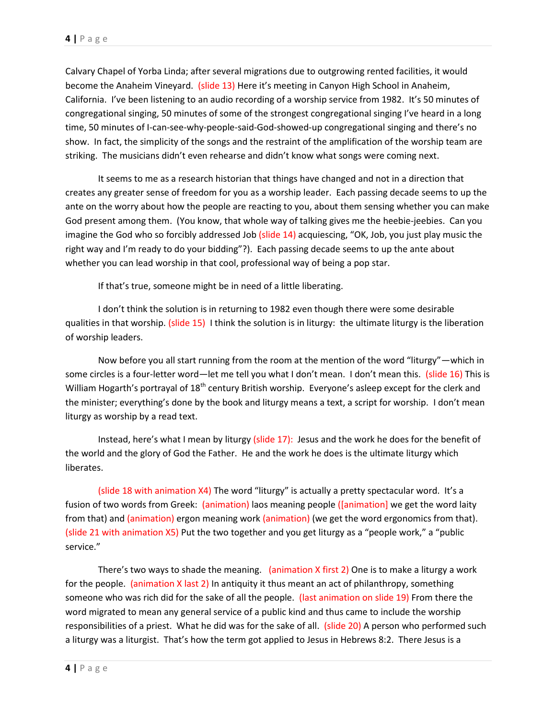Calvary Chapel of Yorba Linda; after several migrations due to outgrowing rented facilities, it would become the Anaheim Vineyard. (slide 13) Here it's meeting in Canyon High School in Anaheim, California. I've been listening to an audio recording of a worship service from 1982. It's 50 minutes of congregational singing, 50 minutes of some of the strongest congregational singing I've heard in a long time, 50 minutes of I-can-see-why-people-said-God-showed-up congregational singing and there's no show. In fact, the simplicity of the songs and the restraint of the amplification of the worship team are striking. The musicians didn't even rehearse and didn't know what songs were coming next.

It seems to me as a research historian that things have changed and not in a direction that creates any greater sense of freedom for you as a worship leader. Each passing decade seems to up the ante on the worry about how the people are reacting to you, about them sensing whether you can make God present among them. (You know, that whole way of talking gives me the heebie-jeebies. Can you imagine the God who so forcibly addressed Job (slide 14) acquiescing, "OK, Job, you just play music the right way and I'm ready to do your bidding"?). Each passing decade seems to up the ante about whether you can lead worship in that cool, professional way of being a pop star.

If that's true, someone might be in need of a little liberating.

I don't think the solution is in returning to 1982 even though there were some desirable qualities in that worship. (slide 15) I think the solution is in liturgy: the ultimate liturgy is the liberation of worship leaders.

Now before you all start running from the room at the mention of the word "liturgy"—which in some circles is a four-letter word—let me tell you what I don't mean. I don't mean this. (slide 16) This is William Hogarth's portrayal of 18<sup>th</sup> century British worship. Everyone's asleep except for the clerk and the minister; everything's done by the book and liturgy means a text, a script for worship. I don't mean liturgy as worship by a read text.

Instead, here's what I mean by liturgy (slide 17): Jesus and the work he does for the benefit of the world and the glory of God the Father. He and the work he does is the ultimate liturgy which liberates.

(slide 18 with animation X4) The word "liturgy" is actually a pretty spectacular word. It's a fusion of two words from Greek: (animation) laos meaning people ([animation] we get the word laity from that) and (animation) ergon meaning work (animation) (we get the word ergonomics from that). (slide 21 with animation X5) Put the two together and you get liturgy as a "people work," a "public service."

There's two ways to shade the meaning. (animation X first 2) One is to make a liturgy a work for the people. (animation X last 2) In antiquity it thus meant an act of philanthropy, something someone who was rich did for the sake of all the people. (last animation on slide 19) From there the word migrated to mean any general service of a public kind and thus came to include the worship responsibilities of a priest. What he did was for the sake of all. (slide 20) A person who performed such a liturgy was a liturgist. That's how the term got applied to Jesus in Hebrews 8:2. There Jesus is a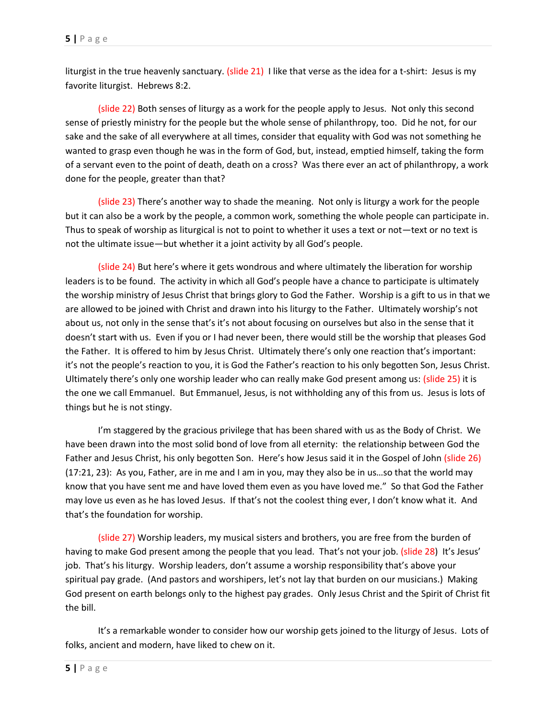liturgist in the true heavenly sanctuary. (slide 21) I like that verse as the idea for a t-shirt: Jesus is my favorite liturgist. Hebrews 8:2.

(slide 22) Both senses of liturgy as a work for the people apply to Jesus. Not only this second sense of priestly ministry for the people but the whole sense of philanthropy, too. Did he not, for our sake and the sake of all everywhere at all times, consider that equality with God was not something he wanted to grasp even though he was in the form of God, but, instead, emptied himself, taking the form of a servant even to the point of death, death on a cross? Was there ever an act of philanthropy, a work done for the people, greater than that?

(slide 23) There's another way to shade the meaning. Not only is liturgy a work for the people but it can also be a work by the people, a common work, something the whole people can participate in. Thus to speak of worship as liturgical is not to point to whether it uses a text or not—text or no text is not the ultimate issue—but whether it a joint activity by all God's people.

(slide 24) But here's where it gets wondrous and where ultimately the liberation for worship leaders is to be found. The activity in which all God's people have a chance to participate is ultimately the worship ministry of Jesus Christ that brings glory to God the Father. Worship is a gift to us in that we are allowed to be joined with Christ and drawn into his liturgy to the Father. Ultimately worship's not about us, not only in the sense that's it's not about focusing on ourselves but also in the sense that it doesn't start with us. Even if you or I had never been, there would still be the worship that pleases God the Father. It is offered to him by Jesus Christ. Ultimately there's only one reaction that's important: it's not the people's reaction to you, it is God the Father's reaction to his only begotten Son, Jesus Christ. Ultimately there's only one worship leader who can really make God present among us: (slide 25) it is the one we call Emmanuel. But Emmanuel, Jesus, is not withholding any of this from us. Jesus is lots of things but he is not stingy.

I'm staggered by the gracious privilege that has been shared with us as the Body of Christ. We have been drawn into the most solid bond of love from all eternity: the relationship between God the Father and Jesus Christ, his only begotten Son. Here's how Jesus said it in the Gospel of John (slide 26) (17:21, 23): As you, Father, are in me and I am in you, may they also be in us…so that the world may know that you have sent me and have loved them even as you have loved me." So that God the Father may love us even as he has loved Jesus. If that's not the coolest thing ever, I don't know what it. And that's the foundation for worship.

(slide 27) Worship leaders, my musical sisters and brothers, you are free from the burden of having to make God present among the people that you lead. That's not your job. (slide 28) It's Jesus' job. That's his liturgy. Worship leaders, don't assume a worship responsibility that's above your spiritual pay grade. (And pastors and worshipers, let's not lay that burden on our musicians.) Making God present on earth belongs only to the highest pay grades. Only Jesus Christ and the Spirit of Christ fit the bill.

It's a remarkable wonder to consider how our worship gets joined to the liturgy of Jesus. Lots of folks, ancient and modern, have liked to chew on it.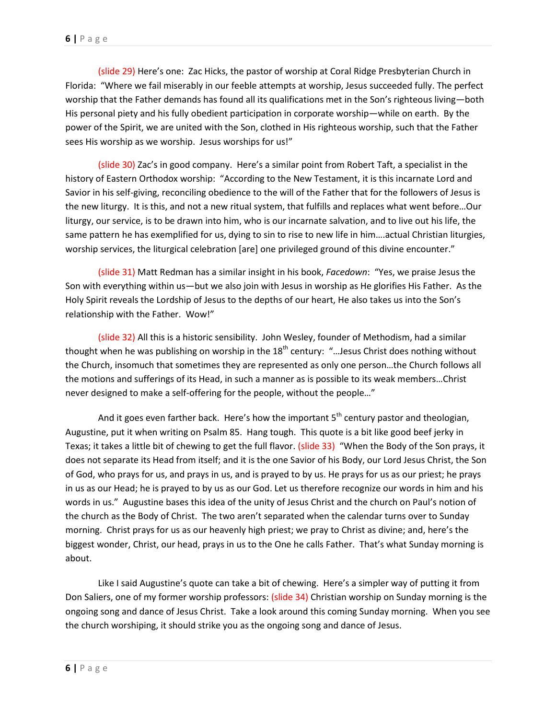(slide 29) Here's one: Zac Hicks, the pastor of worship at Coral Ridge Presbyterian Church in Florida: "Where we fail miserably in our feeble attempts at worship, Jesus succeeded fully. The perfect worship that the Father demands has found all its qualifications met in the Son's righteous living—both His personal piety and his fully obedient participation in corporate worship—while on earth. By the power of the Spirit, we are united with the Son, clothed in His righteous worship, such that the Father sees His worship as we worship. Jesus worships for us!"

(slide 30) Zac's in good company. Here's a similar point from Robert Taft, a specialist in the history of Eastern Orthodox worship: "According to the New Testament, it is this incarnate Lord and Savior in his self-giving, reconciling obedience to the will of the Father that for the followers of Jesus is the new liturgy. It is this, and not a new ritual system, that fulfills and replaces what went before…Our liturgy, our service, is to be drawn into him, who is our incarnate salvation, and to live out his life, the same pattern he has exemplified for us, dying to sin to rise to new life in him….actual Christian liturgies, worship services, the liturgical celebration [are] one privileged ground of this divine encounter."

(slide 31) Matt Redman has a similar insight in his book, *Facedown*: "Yes, we praise Jesus the Son with everything within us—but we also join with Jesus in worship as He glorifies His Father. As the Holy Spirit reveals the Lordship of Jesus to the depths of our heart, He also takes us into the Son's relationship with the Father. Wow!"

(slide 32) All this is a historic sensibility. John Wesley, founder of Methodism, had a similar thought when he was publishing on worship in the  $18<sup>th</sup>$  century: "... Jesus Christ does nothing without the Church, insomuch that sometimes they are represented as only one person…the Church follows all the motions and sufferings of its Head, in such a manner as is possible to its weak members…Christ never designed to make a self-offering for the people, without the people…"

And it goes even farther back. Here's how the important  $5<sup>th</sup>$  century pastor and theologian, Augustine, put it when writing on Psalm 85. Hang tough. This quote is a bit like good beef jerky in Texas; it takes a little bit of chewing to get the full flavor. (slide 33) "When the Body of the Son prays, it does not separate its Head from itself; and it is the one Savior of his Body, our Lord Jesus Christ, the Son of God, who prays for us, and prays in us, and is prayed to by us. He prays for us as our priest; he prays in us as our Head; he is prayed to by us as our God. Let us therefore recognize our words in him and his words in us." Augustine bases this idea of the unity of Jesus Christ and the church on Paul's notion of the church as the Body of Christ. The two aren't separated when the calendar turns over to Sunday morning. Christ prays for us as our heavenly high priest; we pray to Christ as divine; and, here's the biggest wonder, Christ, our head, prays in us to the One he calls Father. That's what Sunday morning is about.

Like I said Augustine's quote can take a bit of chewing. Here's a simpler way of putting it from Don Saliers, one of my former worship professors: (slide 34) Christian worship on Sunday morning is the ongoing song and dance of Jesus Christ. Take a look around this coming Sunday morning. When you see the church worshiping, it should strike you as the ongoing song and dance of Jesus.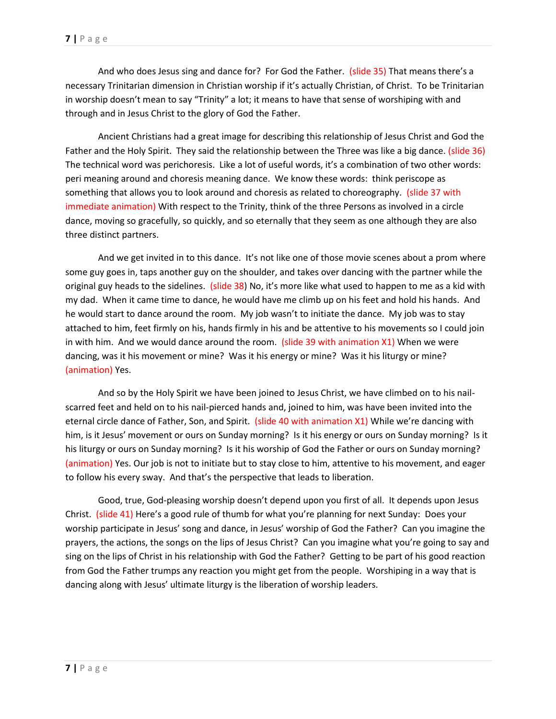And who does Jesus sing and dance for? For God the Father. (slide 35) That means there's a necessary Trinitarian dimension in Christian worship if it's actually Christian, of Christ. To be Trinitarian in worship doesn't mean to say "Trinity" a lot; it means to have that sense of worshiping with and through and in Jesus Christ to the glory of God the Father.

Ancient Christians had a great image for describing this relationship of Jesus Christ and God the Father and the Holy Spirit. They said the relationship between the Three was like a big dance. (slide 36) The technical word was perichoresis. Like a lot of useful words, it's a combination of two other words: peri meaning around and choresis meaning dance. We know these words: think periscope as something that allows you to look around and choresis as related to choreography. (slide 37 with immediate animation) With respect to the Trinity, think of the three Persons as involved in a circle dance, moving so gracefully, so quickly, and so eternally that they seem as one although they are also three distinct partners.

And we get invited in to this dance. It's not like one of those movie scenes about a prom where some guy goes in, taps another guy on the shoulder, and takes over dancing with the partner while the original guy heads to the sidelines. (slide 38) No, it's more like what used to happen to me as a kid with my dad. When it came time to dance, he would have me climb up on his feet and hold his hands. And he would start to dance around the room. My job wasn't to initiate the dance. My job was to stay attached to him, feet firmly on his, hands firmly in his and be attentive to his movements so I could join in with him. And we would dance around the room. (slide 39 with animation  $X1$ ) When we were dancing, was it his movement or mine? Was it his energy or mine? Was it his liturgy or mine? (animation) Yes.

And so by the Holy Spirit we have been joined to Jesus Christ, we have climbed on to his nailscarred feet and held on to his nail-pierced hands and, joined to him, was have been invited into the eternal circle dance of Father, Son, and Spirit. (slide 40 with animation X1) While we're dancing with him, is it Jesus' movement or ours on Sunday morning? Is it his energy or ours on Sunday morning? Is it his liturgy or ours on Sunday morning? Is it his worship of God the Father or ours on Sunday morning? (animation) Yes. Our job is not to initiate but to stay close to him, attentive to his movement, and eager to follow his every sway. And that's the perspective that leads to liberation.

Good, true, God-pleasing worship doesn't depend upon you first of all. It depends upon Jesus Christ. (slide 41) Here's a good rule of thumb for what you're planning for next Sunday: Does your worship participate in Jesus' song and dance, in Jesus' worship of God the Father? Can you imagine the prayers, the actions, the songs on the lips of Jesus Christ? Can you imagine what you're going to say and sing on the lips of Christ in his relationship with God the Father? Getting to be part of his good reaction from God the Father trumps any reaction you might get from the people. Worshiping in a way that is dancing along with Jesus' ultimate liturgy is the liberation of worship leaders.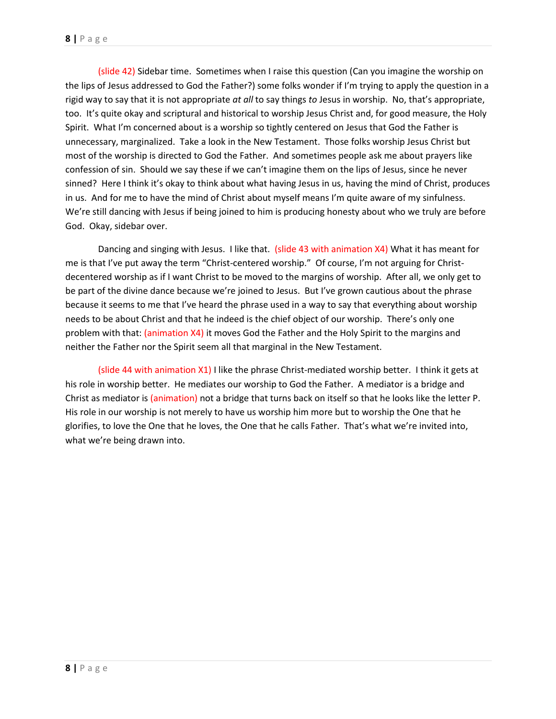(slide 42) Sidebar time. Sometimes when I raise this question (Can you imagine the worship on the lips of Jesus addressed to God the Father?) some folks wonder if I'm trying to apply the question in a rigid way to say that it is not appropriate *at all* to say things *to* Jesus in worship. No, that's appropriate, too. It's quite okay and scriptural and historical to worship Jesus Christ and, for good measure, the Holy Spirit. What I'm concerned about is a worship so tightly centered on Jesus that God the Father is unnecessary, marginalized. Take a look in the New Testament. Those folks worship Jesus Christ but most of the worship is directed to God the Father. And sometimes people ask me about prayers like confession of sin. Should we say these if we can't imagine them on the lips of Jesus, since he never sinned? Here I think it's okay to think about what having Jesus in us, having the mind of Christ, produces in us. And for me to have the mind of Christ about myself means I'm quite aware of my sinfulness. We're still dancing with Jesus if being joined to him is producing honesty about who we truly are before God. Okay, sidebar over.

Dancing and singing with Jesus. I like that. (slide 43 with animation X4) What it has meant for me is that I've put away the term "Christ-centered worship." Of course, I'm not arguing for Christdecentered worship as if I want Christ to be moved to the margins of worship. After all, we only get to be part of the divine dance because we're joined to Jesus. But I've grown cautious about the phrase because it seems to me that I've heard the phrase used in a way to say that everything about worship needs to be about Christ and that he indeed is the chief object of our worship. There's only one problem with that: (animation X4) it moves God the Father and the Holy Spirit to the margins and neither the Father nor the Spirit seem all that marginal in the New Testament.

(slide 44 with animation X1) I like the phrase Christ-mediated worship better. I think it gets at his role in worship better. He mediates our worship to God the Father. A mediator is a bridge and Christ as mediator is (animation) not a bridge that turns back on itself so that he looks like the letter P. His role in our worship is not merely to have us worship him more but to worship the One that he glorifies, to love the One that he loves, the One that he calls Father. That's what we're invited into, what we're being drawn into.